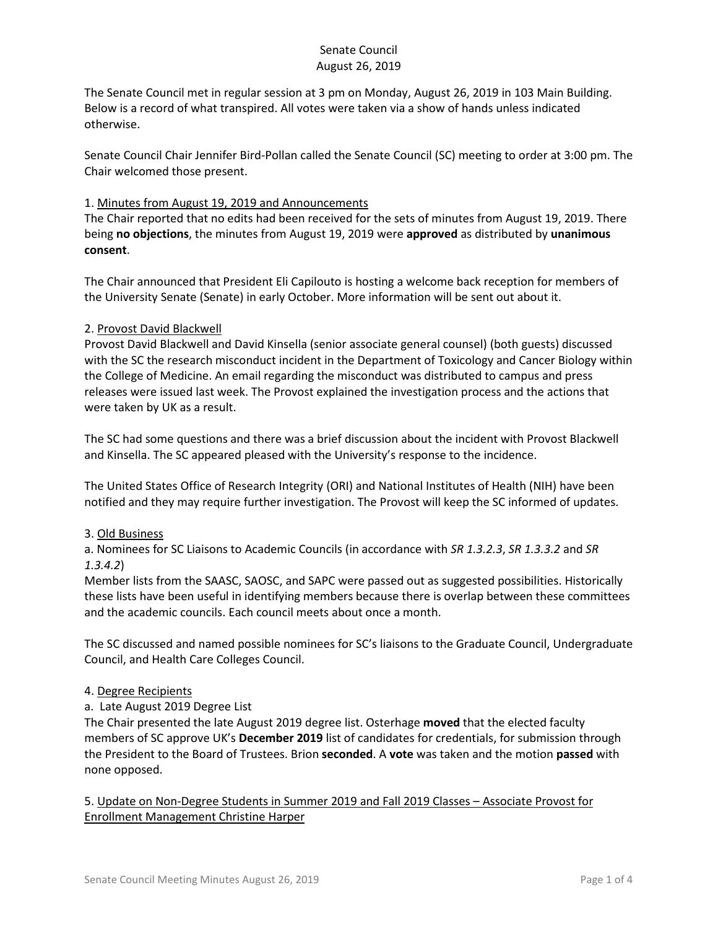The Senate Council met in regular session at 3 pm on Monday, August 26, 2019 in 103 Main Building. Below is a record of what transpired. All votes were taken via a show of hands unless indicated otherwise.

Senate Council Chair Jennifer Bird-Pollan called the Senate Council (SC) meeting to order at 3:00 pm. The Chair welcomed those present.

## 1. Minutes from August 19, 2019 and Announcements

The Chair reported that no edits had been received for the sets of minutes from August 19, 2019. There being **no objections**, the minutes from August 19, 2019 were **approved** as distributed by **unanimous consent**.

The Chair announced that President Eli Capilouto is hosting a welcome back reception for members of the University Senate (Senate) in early October. More information will be sent out about it.

### 2. Provost David Blackwell

Provost David Blackwell and David Kinsella (senior associate general counsel) (both guests) discussed with the SC the research misconduct incident in the Department of Toxicology and Cancer Biology within the College of Medicine. An email regarding the misconduct was distributed to campus and press releases were issued last week. The Provost explained the investigation process and the actions that were taken by UK as a result.

The SC had some questions and there was a brief discussion about the incident with Provost Blackwell and Kinsella. The SC appeared pleased with the University's response to the incidence.

The United States Office of Research Integrity (ORI) and National Institutes of Health (NIH) have been notified and they may require further investigation. The Provost will keep the SC informed of updates.

#### 3. Old Business

a. Nominees for SC Liaisons to Academic Councils (in accordance with *SR 1.3.2.3*, *SR 1.3.3.2* and *SR 1.3.4.2*)

Member lists from the SAASC, SAOSC, and SAPC were passed out as suggested possibilities. Historically these lists have been useful in identifying members because there is overlap between these committees and the academic councils. Each council meets about once a month.

The SC discussed and named possible nominees for SC's liaisons to the Graduate Council, Undergraduate Council, and Health Care Colleges Council.

#### 4. Degree Recipients

a. Late August 2019 Degree List

The Chair presented the late August 2019 degree list. Osterhage **moved** that the elected faculty members of SC approve UK's **December 2019** list of candidates for credentials, for submission through the President to the Board of Trustees. Brion **seconded**. A **vote** was taken and the motion **passed** with none opposed.

5. Update on Non-Degree Students in Summer 2019 and Fall 2019 Classes – Associate Provost for Enrollment Management Christine Harper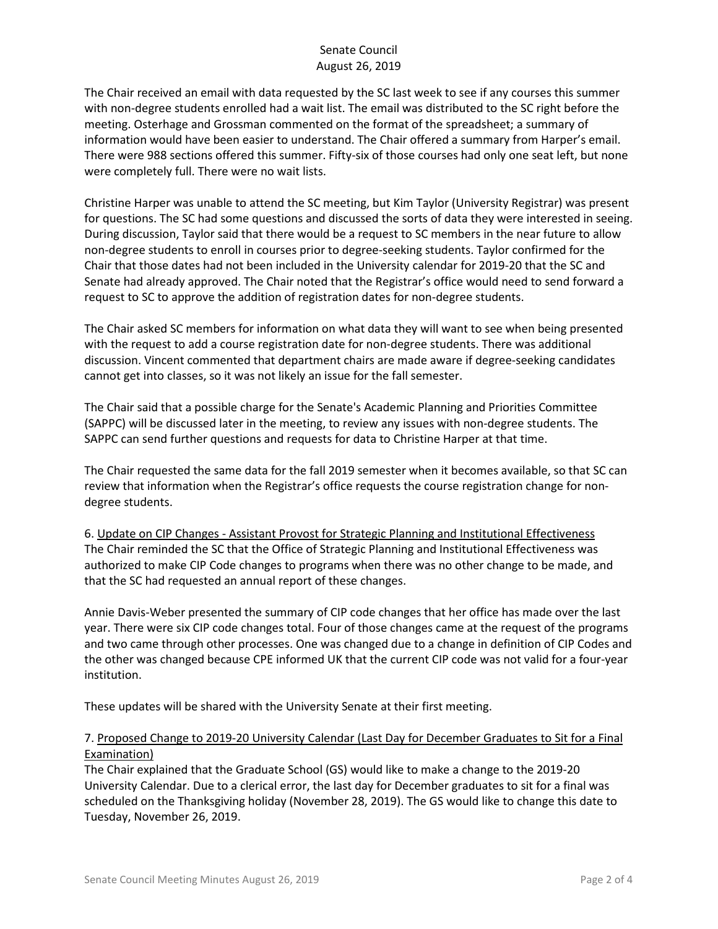The Chair received an email with data requested by the SC last week to see if any courses this summer with non-degree students enrolled had a wait list. The email was distributed to the SC right before the meeting. Osterhage and Grossman commented on the format of the spreadsheet; a summary of information would have been easier to understand. The Chair offered a summary from Harper's email. There were 988 sections offered this summer. Fifty-six of those courses had only one seat left, but none were completely full. There were no wait lists.

Christine Harper was unable to attend the SC meeting, but Kim Taylor (University Registrar) was present for questions. The SC had some questions and discussed the sorts of data they were interested in seeing. During discussion, Taylor said that there would be a request to SC members in the near future to allow non-degree students to enroll in courses prior to degree-seeking students. Taylor confirmed for the Chair that those dates had not been included in the University calendar for 2019-20 that the SC and Senate had already approved. The Chair noted that the Registrar's office would need to send forward a request to SC to approve the addition of registration dates for non-degree students.

The Chair asked SC members for information on what data they will want to see when being presented with the request to add a course registration date for non-degree students. There was additional discussion. Vincent commented that department chairs are made aware if degree-seeking candidates cannot get into classes, so it was not likely an issue for the fall semester.

The Chair said that a possible charge for the Senate's Academic Planning and Priorities Committee (SAPPC) will be discussed later in the meeting, to review any issues with non-degree students. The SAPPC can send further questions and requests for data to Christine Harper at that time.

The Chair requested the same data for the fall 2019 semester when it becomes available, so that SC can review that information when the Registrar's office requests the course registration change for nondegree students.

6. Update on CIP Changes - Assistant Provost for Strategic Planning and Institutional Effectiveness The Chair reminded the SC that the Office of Strategic Planning and Institutional Effectiveness was authorized to make CIP Code changes to programs when there was no other change to be made, and that the SC had requested an annual report of these changes.

Annie Davis-Weber presented the summary of CIP code changes that her office has made over the last year. There were six CIP code changes total. Four of those changes came at the request of the programs and two came through other processes. One was changed due to a change in definition of CIP Codes and the other was changed because CPE informed UK that the current CIP code was not valid for a four-year institution.

These updates will be shared with the University Senate at their first meeting.

# 7. Proposed Change to 2019-20 University Calendar (Last Day for December Graduates to Sit for a Final Examination)

The Chair explained that the Graduate School (GS) would like to make a change to the 2019-20 University Calendar. Due to a clerical error, the last day for December graduates to sit for a final was scheduled on the Thanksgiving holiday (November 28, 2019). The GS would like to change this date to Tuesday, November 26, 2019.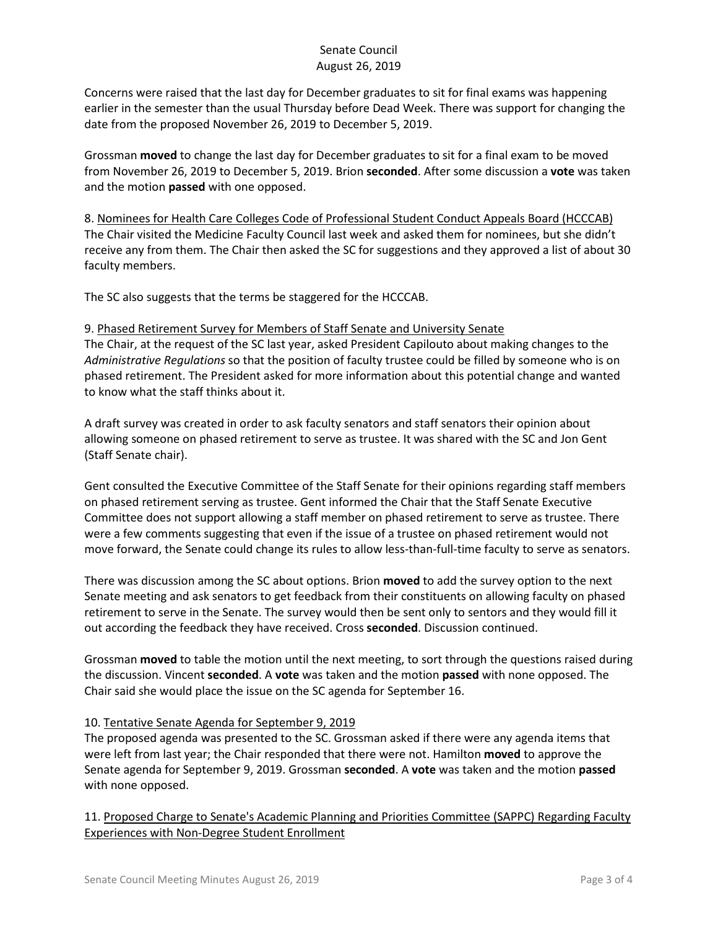Concerns were raised that the last day for December graduates to sit for final exams was happening earlier in the semester than the usual Thursday before Dead Week. There was support for changing the date from the proposed November 26, 2019 to December 5, 2019.

Grossman **moved** to change the last day for December graduates to sit for a final exam to be moved from November 26, 2019 to December 5, 2019. Brion **seconded**. After some discussion a **vote** was taken and the motion **passed** with one opposed.

8. Nominees for Health Care Colleges Code of Professional Student Conduct Appeals Board (HCCCAB) The Chair visited the Medicine Faculty Council last week and asked them for nominees, but she didn't receive any from them. The Chair then asked the SC for suggestions and they approved a list of about 30 faculty members.

The SC also suggests that the terms be staggered for the HCCCAB.

9. Phased Retirement Survey for Members of Staff Senate and University Senate The Chair, at the request of the SC last year, asked President Capilouto about making changes to the *Administrative Regulations* so that the position of faculty trustee could be filled by someone who is on phased retirement. The President asked for more information about this potential change and wanted to know what the staff thinks about it.

A draft survey was created in order to ask faculty senators and staff senators their opinion about allowing someone on phased retirement to serve as trustee. It was shared with the SC and Jon Gent (Staff Senate chair).

Gent consulted the Executive Committee of the Staff Senate for their opinions regarding staff members on phased retirement serving as trustee. Gent informed the Chair that the Staff Senate Executive Committee does not support allowing a staff member on phased retirement to serve as trustee. There were a few comments suggesting that even if the issue of a trustee on phased retirement would not move forward, the Senate could change its rules to allow less-than-full-time faculty to serve as senators.

There was discussion among the SC about options. Brion **moved** to add the survey option to the next Senate meeting and ask senators to get feedback from their constituents on allowing faculty on phased retirement to serve in the Senate. The survey would then be sent only to sentors and they would fill it out according the feedback they have received. Cross **seconded**. Discussion continued.

Grossman **moved** to table the motion until the next meeting, to sort through the questions raised during the discussion. Vincent **seconded**. A **vote** was taken and the motion **passed** with none opposed. The Chair said she would place the issue on the SC agenda for September 16.

# 10. Tentative Senate Agenda for September 9, 2019

The proposed agenda was presented to the SC. Grossman asked if there were any agenda items that were left from last year; the Chair responded that there were not. Hamilton **moved** to approve the Senate agenda for September 9, 2019. Grossman **seconded**. A **vote** was taken and the motion **passed** with none opposed.

11. Proposed Charge to Senate's Academic Planning and Priorities Committee (SAPPC) Regarding Faculty Experiences with Non-Degree Student Enrollment